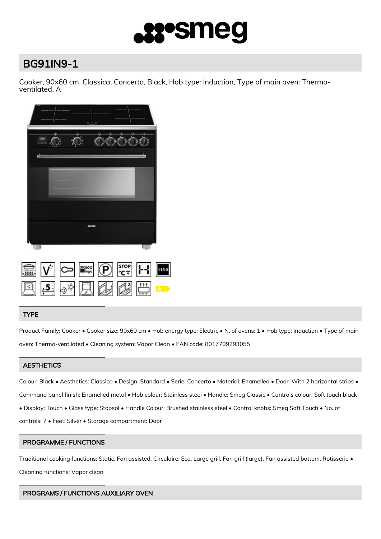

# BG91IN9-1

Cooker, 90x60 cm, Classica, Concerto, Black, Hob type: Induction, Type of main oven: Thermoventilated, A



|  |  |  | $\boxed{\text{min}}$ $ V^* $ $\boxed{\text{min}}$ $ V^* $ $\boxed{\text{max}}$ $ V^* $ $\boxed{\text{max}}$ |  |
|--|--|--|-------------------------------------------------------------------------------------------------------------|--|
|  |  |  | 四点。只要心出                                                                                                     |  |

# TYPE

Product Family: Cooker • Cooker size: 90x60 cm • Hob energy type: Electric • N. of ovens: 1 • Hob type: Induction • Type of main oven: Thermo-ventilated • Cleaning system: Vapor Clean • EAN code: 8017709293055

# **AESTHETICS**

Colour: Black • Aesthetics: Classica • Design: Standard • Serie: Concerto • Material: Enamelled • Door: With 2 horizontal strips • Command panel finish: Enamelled metal • Hob colour: Stainless steel • Handle: Smeg Classic • Controls colour: Soft touch black • Display: Touch • Glass type: Stopsol • Handle Colour: Brushed stainless steel • Control knobs: Smeg Soft Touch • No. of controls: 7 • Feet: Silver • Storage compartment: Door

# PROGRAMME / FUNCTIONS

Traditional cooking functions: Static, Fan assisted, Circulaire, Eco, Large grill, Fan grill (large), Fan assisted bottom, Rotisserie • Cleaning functions: Vapor clean

# PROGRAMS / FUNCTIONS AUXILIARY OVEN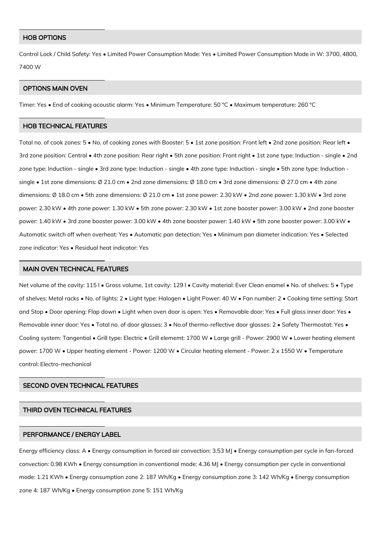#### HOB OPTIONS

Control Lock / Child Safety: Yes • Limited Power Consumption Mode: Yes • Limited Power Consumption Mode in W: 3700, 4800, 7400 W

## OPTIONS MAIN OVEN

Timer: Yes • End of cooking acoustic alarm: Yes • Minimum Temperature: 50 °C • Maximum temperature: 260 °C

#### HOB TECHNICAL FEATURES

Total no. of cook zones: 5 • No. of cooking zones with Booster: 5 • 1st zone position: Front left • 2nd zone position: Rear left • 3rd zone position: Central • 4th zone position: Rear right • 5th zone position: Front right • 1st zone type: Induction - single • 2nd zone type: Induction - single • 3rd zone type: Induction - single • 4th zone type: Induction - single • 5th zone type: Induction single • 1st zone dimensions: Ø 21.0 cm • 2nd zone dimensions: Ø 18.0 cm • 3rd zone dimensions: Ø 27.0 cm • 4th zone dimensions: Ø 18.0 cm • 5th zone dimensions: Ø 21.0 cm • 1st zone power: 2.30 kW • 2nd zone power: 1.30 kW • 3rd zone power: 2.30 kW • 4th zone power: 1.30 kW • 5th zone power: 2.30 kW • 1st zone booster power: 3.00 kW • 2nd zone booster power: 1.40 kW • 3rd zone booster power: 3.00 kW • 4th zone booster power: 1.40 kW • 5th zone booster power: 3.00 kW • Automatic switch off when overheat: Yes • Automatic pan detection: Yes • Minimum pan diameter indication: Yes • Selected zone indicator: Yes • Residual heat indicator: Yes

#### MAIN OVEN TECHNICAL FEATURES

Net volume of the cavity: 115 l • Gross volume, 1st cavity: 129 l • Cavity material: Ever Clean enamel • No. of shelves: 5 • Type of shelves: Metal racks • No. of lights: 2 • Light type: Halogen • Light Power: 40 W • Fan number: 2 • Cooking time setting: Start and Stop • Door opening: Flap down • Light when oven door is open: Yes • Removable door: Yes • Full glass inner door: Yes • Removable inner door: Yes • Total no. of door glasses: 3 • No.of thermo-reflective door glasses: 2 • Safety Thermostat: Yes • Cooling system: Tangential • Grill type: Electric • Grill elememt: 1700 W • Large grill - Power: 2900 W • Lower heating element power: 1700 W • Upper heating element - Power: 1200 W • Circular heating element - Power: 2 x 1550 W • Temperature control: Electro-mechanical

## SECOND OVEN TECHNICAL FEATURES

#### THIRD OVEN TECHNICAL FEATURES

#### PERFORMANCE / ENERGY LABEL

Energy efficiency class: A • Energy consumption in forced air convection: 3.53 MJ • Energy consumption per cycle in fan-forced convection: 0.98 KWh • Energy consumption in conventional mode: 4.36 MJ • Energy consumption per cycle in conventional mode: 1.21 KWh • Energy consumption zone 2: 187 Wh/Kg • Energy consumption zone 3: 142 Wh/Kg • Energy consumption zone 4: 187 Wh/Kg • Energy consumption zone 5: 151 Wh/Kg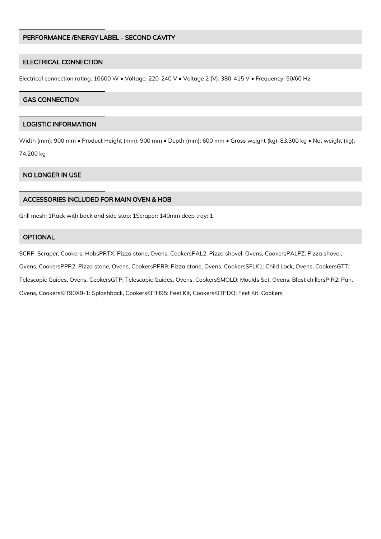## PERFORMANCE /ENERGY LABEL - SECOND CAVITY

## ELECTRICAL CONNECTION

Electrical connection rating: 10600 W • Voltage: 220-240 V • Voltage 2 (V): 380-415 V • Frequency: 50/60 Hz

## GAS CONNECTION

## LOGISTIC INFORMATION

Width (mm): 900 mm • Product Height (mm): 900 mm • Depth (mm): 600 mm • Gross weight (kg): 83.300 kg • Net weight (kg): 74.200 kg

# NO LONGER IN USE

## ACCESSORIES INCLUDED FOR MAIN OVEN & HOB

Grill mesh: 1Rack with back and side stop: 1Scraper: 140mm deep tray: 1

## **OPTIONAL**

SCRP: Scraper, Cookers, HobsPRTX: Pizza stone, Ovens, CookersPAL2: Pizza shovel, Ovens, CookersPALPZ: Pizza shovel, Ovens, CookersPPR2: Pizza stone, Ovens, CookersPPR9: Pizza stone, Ovens, CookersSFLK1: Child Lock, Ovens, CookersGTT: Telescopic Guides, Ovens, CookersGTP: Telescopic Guides, Ovens, CookersSMOLD: Moulds Set, Ovens, Blast chillersPIR2: Pan, Ovens, CookersKIT90X9-1: Splashback, CookersKITH95: Feet Kit, CookersKITPDQ: Feet Kit, Cookers